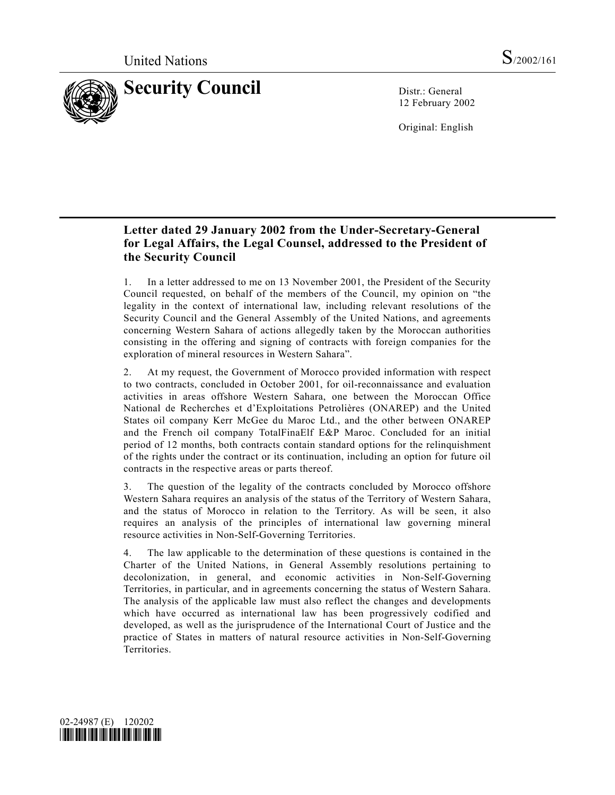

12 February 2002

Original: English

# **Letter dated 29 January 2002 from the Under-Secretary-General for Legal Affairs, the Legal Counsel, addressed to the President of the Security Council**

1. In a letter addressed to me on 13 November 2001, the President of the Security Council requested, on behalf of the members of the Council, my opinion on "the legality in the context of international law, including relevant resolutions of the Security Council and the General Assembly of the United Nations, and agreements concerning Western Sahara of actions allegedly taken by the Moroccan authorities consisting in the offering and signing of contracts with foreign companies for the exploration of mineral resources in Western Sahara".

2. At my request, the Government of Morocco provided information with respect to two contracts, concluded in October 2001, for oil-reconnaissance and evaluation activities in areas offshore Western Sahara, one between the Moroccan Office National de Recherches et d'Exploitations Petrolières (ONAREP) and the United States oil company Kerr McGee du Maroc Ltd., and the other between ONAREP and the French oil company TotalFinaElf E&P Maroc. Concluded for an initial period of 12 months, both contracts contain standard options for the relinquishment of the rights under the contract or its continuation, including an option for future oil contracts in the respective areas or parts thereof.

3. The question of the legality of the contracts concluded by Morocco offshore Western Sahara requires an analysis of the status of the Territory of Western Sahara, and the status of Morocco in relation to the Territory. As will be seen, it also requires an analysis of the principles of international law governing mineral resource activities in Non-Self-Governing Territories.

4. The law applicable to the determination of these questions is contained in the Charter of the United Nations, in General Assembly resolutions pertaining to decolonization, in general, and economic activities in Non-Self-Governing Territories, in particular, and in agreements concerning the status of Western Sahara. The analysis of the applicable law must also reflect the changes and developments which have occurred as international law has been progressively codified and developed, as well as the jurisprudence of the International Court of Justice and the practice of States in matters of natural resource activities in Non-Self-Governing Territories.

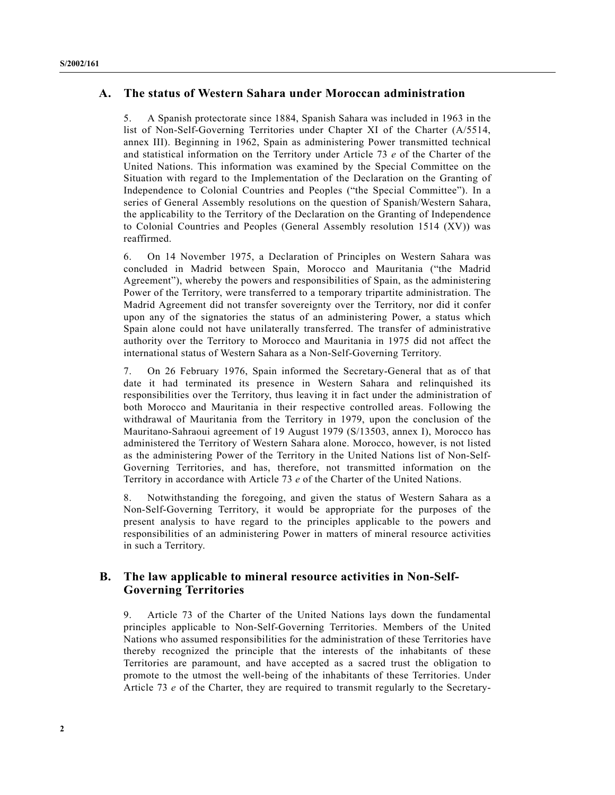### **A. The status of Western Sahara under Moroccan administration**

5. A Spanish protectorate since 1884, Spanish Sahara was included in 1963 in the list of Non-Self-Governing Territories under Chapter XI of the Charter (A/5514, annex III). Beginning in 1962, Spain as administering Power transmitted technical and statistical information on the Territory under Article 73 *e* of the Charter of the United Nations. This information was examined by the Special Committee on the Situation with regard to the Implementation of the Declaration on the Granting of Independence to Colonial Countries and Peoples ("the Special Committee"). In a series of General Assembly resolutions on the question of Spanish/Western Sahara, the applicability to the Territory of the Declaration on the Granting of Independence to Colonial Countries and Peoples (General Assembly resolution 1514 (XV)) was reaffirmed.

6. On 14 November 1975, a Declaration of Principles on Western Sahara was concluded in Madrid between Spain, Morocco and Mauritania ("the Madrid Agreement"), whereby the powers and responsibilities of Spain, as the administering Power of the Territory, were transferred to a temporary tripartite administration. The Madrid Agreement did not transfer sovereignty over the Territory, nor did it confer upon any of the signatories the status of an administering Power, a status which Spain alone could not have unilaterally transferred. The transfer of administrative authority over the Territory to Morocco and Mauritania in 1975 did not affect the international status of Western Sahara as a Non-Self-Governing Territory.

7. On 26 February 1976, Spain informed the Secretary-General that as of that date it had terminated its presence in Western Sahara and relinquished its responsibilities over the Territory, thus leaving it in fact under the administration of both Morocco and Mauritania in their respective controlled areas. Following the withdrawal of Mauritania from the Territory in 1979, upon the conclusion of the Mauritano-Sahraoui agreement of 19 August 1979 (S/13503, annex I), Morocco has administered the Territory of Western Sahara alone. Morocco, however, is not listed as the administering Power of the Territory in the United Nations list of Non-Self-Governing Territories, and has, therefore, not transmitted information on the Territory in accordance with Article 73 *e* of the Charter of the United Nations.

8. Notwithstanding the foregoing, and given the status of Western Sahara as a Non-Self-Governing Territory, it would be appropriate for the purposes of the present analysis to have regard to the principles applicable to the powers and responsibilities of an administering Power in matters of mineral resource activities in such a Territory.

## **B. The law applicable to mineral resource activities in Non-Self-Governing Territories**

9. Article 73 of the Charter of the United Nations lays down the fundamental principles applicable to Non-Self-Governing Territories. Members of the United Nations who assumed responsibilities for the administration of these Territories have thereby recognized the principle that the interests of the inhabitants of these Territories are paramount, and have accepted as a sacred trust the obligation to promote to the utmost the well-being of the inhabitants of these Territories. Under Article 73 *e* of the Charter, they are required to transmit regularly to the Secretary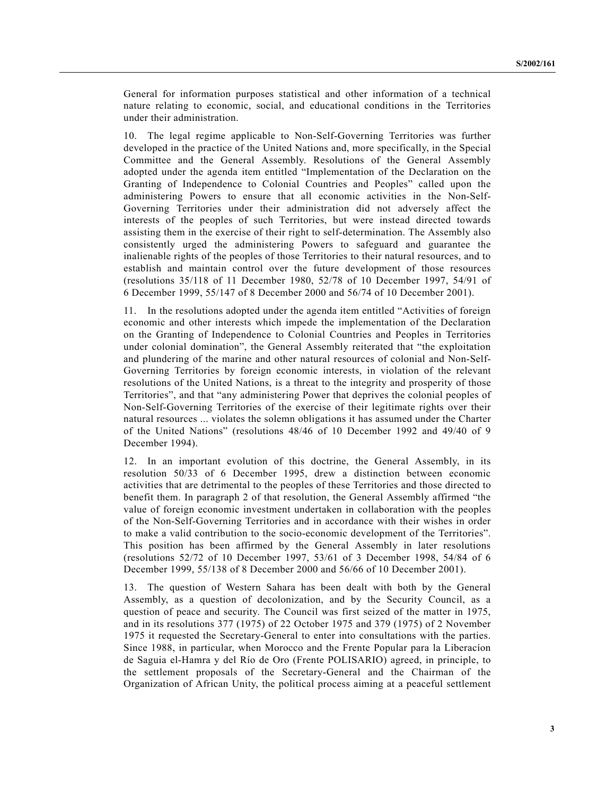General for information purposes statistical and other information of a technical nature relating to economic, social, and educational conditions in the Territories under their administration.

10. The legal regime applicable to Non-Self-Governing Territories was further developed in the practice of the United Nations and, more specifically, in the Special Committee and the General Assembly. Resolutions of the General Assembly adopted under the agenda item entitled "Implementation of the Declaration on the Granting of Independence to Colonial Countries and Peoples" called upon the administering Powers to ensure that all economic activities in the Non-Self-Governing Territories under their administration did not adversely affect the interests of the peoples of such Territories, but were instead directed towards assisting them in the exercise of their right to self-determination. The Assembly also consistently urged the administering Powers to safeguard and guarantee the inalienable rights of the peoples of those Territories to their natural resources, and to establish and maintain control over the future development of those resources (resolutions 35/118 of 11 December 1980, 52/78 of 10 December 1997, 54/91 of 6 December 1999, 55/147 of 8 December 2000 and 56/74 of 10 December 2001).

11. In the resolutions adopted under the agenda item entitled "Activities of foreign economic and other interests which impede the implementation of the Declaration on the Granting of Independence to Colonial Countries and Peoples in Territories under colonial domination", the General Assembly reiterated that "the exploitation and plundering of the marine and other natural resources of colonial and Non-Self-Governing Territories by foreign economic interests, in violation of the relevant resolutions of the United Nations, is a threat to the integrity and prosperity of those Territories", and that "any administering Power that deprives the colonial peoples of Non-Self-Governing Territories of the exercise of their legitimate rights over their natural resources ... violates the solemn obligations it has assumed under the Charter of the United Nations" (resolutions 48/46 of 10 December 1992 and 49/40 of 9 December 1994).

12. In an important evolution of this doctrine, the General Assembly, in its resolution 50/33 of 6 December 1995, drew a distinction between economic activities that are detrimental to the peoples of these Territories and those directed to benefit them. In paragraph 2 of that resolution, the General Assembly affirmed "the value of foreign economic investment undertaken in collaboration with the peoples of the Non-Self-Governing Territories and in accordance with their wishes in order to make a valid contribution to the socio-economic development of the Territories". This position has been affirmed by the General Assembly in later resolutions (resolutions 52/72 of 10 December 1997, 53/61 of 3 December 1998, 54/84 of 6 December 1999, 55/138 of 8 December 2000 and 56/66 of 10 December 2001).

13. The question of Western Sahara has been dealt with both by the General Assembly, as a question of decolonization, and by the Security Council, as a question of peace and security. The Council was first seized of the matter in 1975, and in its resolutions 377 (1975) of 22 October 1975 and 379 (1975) of 2 November 1975 it requested the Secretary-General to enter into consultations with the parties. Since 1988, in particular, when Morocco and the Frente Popular para la Liberacíon de Saguia el-Hamra y del Río de Oro (Frente POLISARIO) agreed, in principle, to the settlement proposals of the Secretary-General and the Chairman of the Organization of African Unity, the political process aiming at a peaceful settlement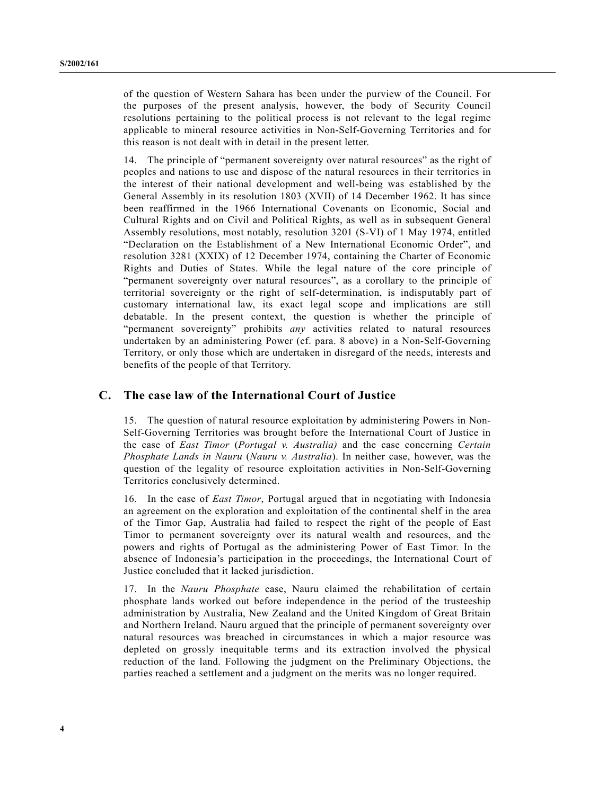of the question of Western Sahara has been under the purview of the Council. For the purposes of the present analysis, however, the body of Security Council resolutions pertaining to the political process is not relevant to the legal regime applicable to mineral resource activities in Non-Self-Governing Territories and for this reason is not dealt with in detail in the present letter.

14. The principle of "permanent sovereignty over natural resources" as the right of peoples and nations to use and dispose of the natural resources in their territories in the interest of their national development and well-being was established by the General Assembly in its resolution 1803 (XVII) of 14 December 1962. It has since been reaffirmed in the 1966 International Covenants on Economic, Social and Cultural Rights and on Civil and Political Rights, as well as in subsequent General Assembly resolutions, most notably, resolution 3201 (S-VI) of 1 May 1974, entitled "Declaration on the Establishment of a New International Economic Order", and resolution 3281 (XXIX) of 12 December 1974, containing the Charter of Economic Rights and Duties of States. While the legal nature of the core principle of "permanent sovereignty over natural resources", as a corollary to the principle of territorial sovereignty or the right of self-determination, is indisputably part of customary international law, its exact legal scope and implications are still debatable. In the present context, the question is whether the principle of "permanent sovereignty" prohibits *any* activities related to natural resources undertaken by an administering Power (cf. para. 8 above) in a Non-Self-Governing Territory, or only those which are undertaken in disregard of the needs, interests and benefits of the people of that Territory.

### **C. The case law of the International Court of Justice**

15. The question of natural resource exploitation by administering Powers in Non-Self-Governing Territories was brought before the International Court of Justice in the case of *East Timor* (*Portugal v. Australia)* and the case concerning *Certain Phosphate Lands in Nauru* (*Nauru v. Australia*). In neither case, however, was the question of the legality of resource exploitation activities in Non-Self-Governing Territories conclusively determined.

16. In the case of *East Timor*, Portugal argued that in negotiating with Indonesia an agreement on the exploration and exploitation of the continental shelf in the area of the Timor Gap, Australia had failed to respect the right of the people of East Timor to permanent sovereignty over its natural wealth and resources, and the powers and rights of Portugal as the administering Power of East Timor. In the absence of Indonesia's participation in the proceedings, the International Court of Justice concluded that it lacked jurisdiction.

17. In the *Nauru Phosphate* case, Nauru claimed the rehabilitation of certain phosphate lands worked out before independence in the period of the trusteeship administration by Australia, New Zealand and the United Kingdom of Great Britain and Northern Ireland. Nauru argued that the principle of permanent sovereignty over natural resources was breached in circumstances in which a major resource was depleted on grossly inequitable terms and its extraction involved the physical reduction of the land. Following the judgment on the Preliminary Objections, the parties reached a settlement and a judgment on the merits was no longer required.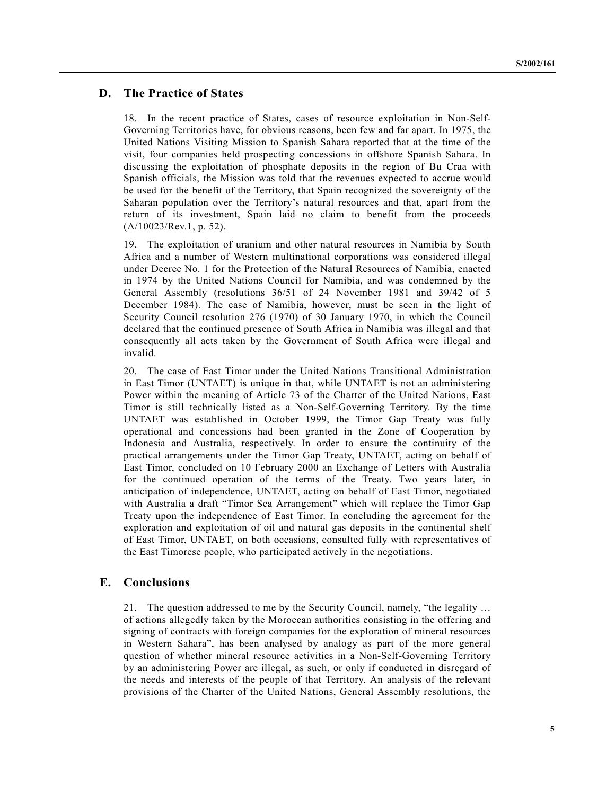### **D. The Practice of States**

18. In the recent practice of States, cases of resource exploitation in Non-Self-Governing Territories have, for obvious reasons, been few and far apart. In 1975, the United Nations Visiting Mission to Spanish Sahara reported that at the time of the visit, four companies held prospecting concessions in offshore Spanish Sahara. In discussing the exploitation of phosphate deposits in the region of Bu Craa with Spanish officials, the Mission was told that the revenues expected to accrue would be used for the benefit of the Territory, that Spain recognized the sovereignty of the Saharan population over the Territory's natural resources and that, apart from the return of its investment, Spain laid no claim to benefit from the proceeds (A/10023/Rev.1, p. 52).

19. The exploitation of uranium and other natural resources in Namibia by South Africa and a number of Western multinational corporations was considered illegal under Decree No. 1 for the Protection of the Natural Resources of Namibia, enacted in 1974 by the United Nations Council for Namibia, and was condemned by the General Assembly (resolutions 36/51 of 24 November 1981 and 39/42 of 5 December 1984). The case of Namibia, however, must be seen in the light of Security Council resolution 276 (1970) of 30 January 1970, in which the Council declared that the continued presence of South Africa in Namibia was illegal and that consequently all acts taken by the Government of South Africa were illegal and invalid.

20. The case of East Timor under the United Nations Transitional Administration in East Timor (UNTAET) is unique in that, while UNTAET is not an administering Power within the meaning of Article 73 of the Charter of the United Nations, East Timor is still technically listed as a Non-Self-Governing Territory. By the time UNTAET was established in October 1999, the Timor Gap Treaty was fully operational and concessions had been granted in the Zone of Cooperation by Indonesia and Australia, respectively. In order to ensure the continuity of the practical arrangements under the Timor Gap Treaty, UNTAET, acting on behalf of East Timor, concluded on 10 February 2000 an Exchange of Letters with Australia for the continued operation of the terms of the Treaty. Two years later, in anticipation of independence, UNTAET, acting on behalf of East Timor, negotiated with Australia a draft "Timor Sea Arrangement" which will replace the Timor Gap Treaty upon the independence of East Timor. In concluding the agreement for the exploration and exploitation of oil and natural gas deposits in the continental shelf of East Timor, UNTAET, on both occasions, consulted fully with representatives of the East Timorese people, who participated actively in the negotiations.

#### **E. Conclusions**

21. The question addressed to me by the Security Council, namely, "the legality … of actions allegedly taken by the Moroccan authorities consisting in the offering and signing of contracts with foreign companies for the exploration of mineral resources in Western Sahara", has been analysed by analogy as part of the more general question of whether mineral resource activities in a Non-Self-Governing Territory by an administering Power are illegal, as such, or only if conducted in disregard of the needs and interests of the people of that Territory. An analysis of the relevant provisions of the Charter of the United Nations, General Assembly resolutions, the